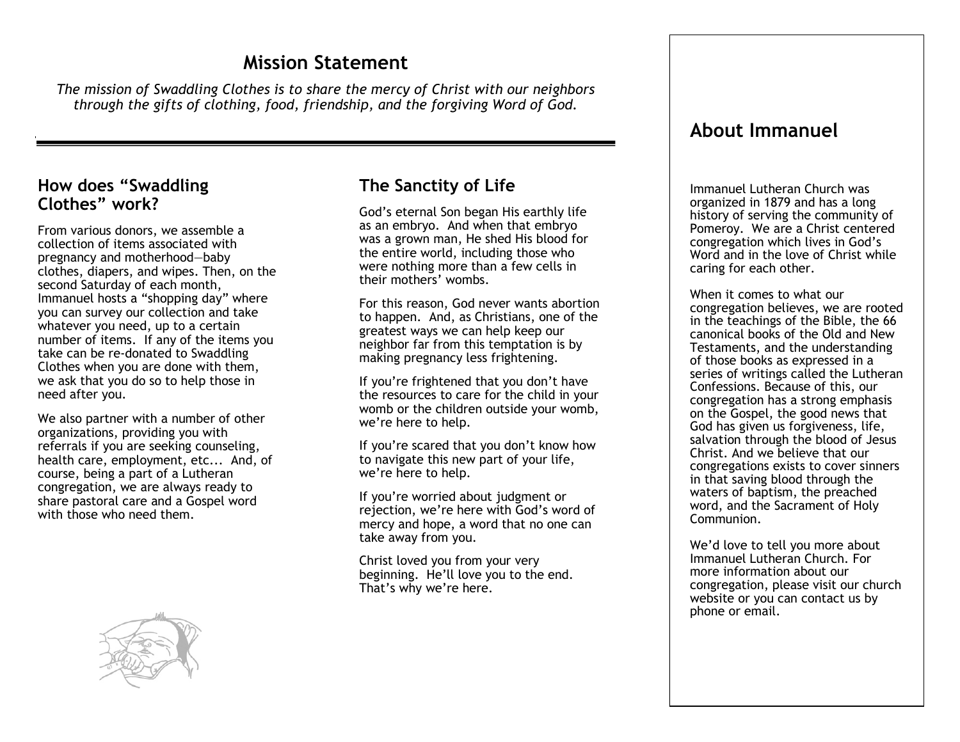# **Mission Statement**

*The mission of Swaddling Clothes is to share the mercy of Christ with our neighbors through the gifts of clothing, food, friendship, and the forgiving Word of God.*

#### **How does "Swaddling Clothes" work?**

From various donors, we assemble a collection of items associated with pregnancy and motherhood—baby clothes, diapers, and wipes. Then, on the second Saturday of each month, Immanuel hosts a "shopping day" where you can survey our collection and take whatever you need, up to a certain number of items. If any of the items you take can be re-donated to Swaddling Clothes when you are done with them, we ask that you do so to help those in need after you.

We also partner with a number of other organizations, providing you with referrals if you are seeking counseling, health care, employment, etc... And, of course, being a part of a Lutheran congregation, we are always ready to share pastoral care and a Gospel word with those who need them.



## **The Sanctity of Life**

God's eternal Son began His earthly life as an embryo. And when that embryo was a grown man, He shed His blood for the entire world, including those who were nothing more than a few cells in their mothers' wombs.

For this reason, God never wants abortion to happen. And, as Christians, one of the greatest ways we can help keep our neighbor far from this temptation is by making pregnancy less frightening.

If you're frightened that you don't have the resources to care for the child in your womb or the children outside your womb, we're here to help.

If you're scared that you don't know how to navigate this new part of your life, we're here to help.

If you're worried about judgment or rejection, we're here with God's word of mercy and hope, a word that no one can take away from you.

Christ loved you from your very beginning. He'll love you to the end. That's why we're here.

## **About Immanuel**

Immanuel Lutheran Church was organized in 1879 and has a long history of serving the community of Pomeroy. We are a Christ centered congregation which lives in God's Word and in the love of Christ while caring for each other.

When it comes to what our congregation believes, we are rooted in the teachings of the Bible, the 66 canonical books of the Old and New Testaments, and the understanding of those books as expressed in a series of writings called the Lutheran Confessions. Because of this, our congregation has a strong emphasis on the Gospel, the good news that God has given us forgiveness, life, salvation through the blood of Jesus Christ. And we believe that our congregations exists to cover sinners in that saving blood through the waters of baptism, the preached word, and the Sacrament of Holy Communion.

We'd love to tell you more about Immanuel Lutheran Church. For more information about our congregation, please visit our church website or you can contact us by phone or email.